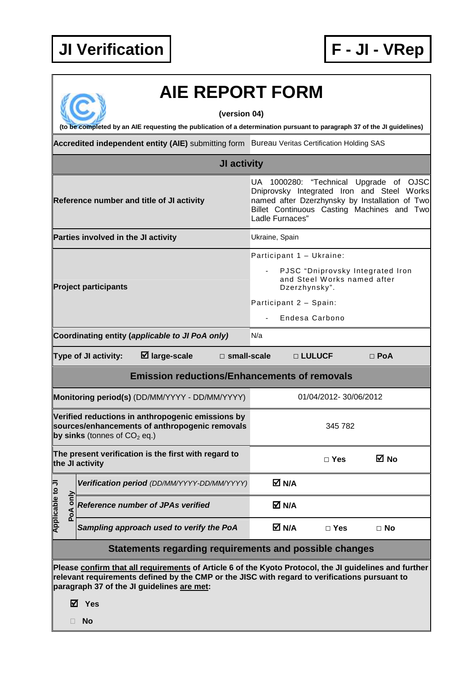

## **AIE REPORT FORM**

**(version 04)** 

**(to be completed by an AIE requesting the publication of a determination pursuant to paragraph 37 of the JI guidelines)** 

Accredited independent entity (AIE) submitting form Bureau Veritas Certification Holding SAS

|                                                                         |   | <b>JI activity</b>                                                                                                                                 |                                                                                                                                                                                                         |  |
|-------------------------------------------------------------------------|---|----------------------------------------------------------------------------------------------------------------------------------------------------|---------------------------------------------------------------------------------------------------------------------------------------------------------------------------------------------------------|--|
| Reference number and title of JI activity                               |   |                                                                                                                                                    | UA 1000280: "Technical Upgrade of OJSC<br>Dniprovsky Integrated Iron and Steel Works<br>named after Dzerzhynsky by Installation of Two<br>Billet Continuous Casting Machines and Two<br>Ladle Furnaces" |  |
|                                                                         |   | Parties involved in the JI activity                                                                                                                | Ukraine, Spain                                                                                                                                                                                          |  |
| <b>Project participants</b>                                             |   |                                                                                                                                                    | Participant 1 - Ukraine:<br>PJSC "Dniprovsky Integrated Iron<br>and Steel Works named after<br>Dzerzhynsky".                                                                                            |  |
|                                                                         |   |                                                                                                                                                    | Participant 2 - Spain:<br>Endesa Carbono                                                                                                                                                                |  |
|                                                                         |   | Coordinating entity (applicable to JI PoA only)                                                                                                    | N/a                                                                                                                                                                                                     |  |
|                                                                         |   | $\boxtimes$ large-scale<br>Type of JI activity:<br>$\square$ small-scale                                                                           | □ LULUCF<br>$\Box$ PoA                                                                                                                                                                                  |  |
|                                                                         |   | <b>Emission reductions/Enhancements of removals</b>                                                                                                |                                                                                                                                                                                                         |  |
|                                                                         |   | Monitoring period(s) (DD/MM/YYYY - DD/MM/YYYY)                                                                                                     | 01/04/2012-30/06/2012                                                                                                                                                                                   |  |
|                                                                         |   | Verified reductions in anthropogenic emissions by<br>sources/enhancements of anthropogenic removals<br>by sinks (tonnes of $CO2$ eq.)              | 345 782                                                                                                                                                                                                 |  |
| The present verification is the first with regard to<br>the JI activity |   |                                                                                                                                                    | ⊠ No<br>$\Box$ Yes                                                                                                                                                                                      |  |
|                                                                         |   | Verification period (DD/MM/YYYY-DD/MM/YYYY)                                                                                                        | M N/A                                                                                                                                                                                                   |  |
| able to JI<br>only<br><b>Applica</b><br>$\overrightarrow{P}$            |   | <b>Reference number of JPAs verified</b>                                                                                                           | $M$ N/A                                                                                                                                                                                                 |  |
|                                                                         |   | Sampling approach used to verify the PoA                                                                                                           | M N/A<br>$\Box$ No<br>$\Box$ Yes                                                                                                                                                                        |  |
|                                                                         |   | Statements regarding requirements and possible changes                                                                                             |                                                                                                                                                                                                         |  |
|                                                                         | ☑ | relevant requirements defined by the CMP or the JISC with regard to verifications pursuant to<br>paragraph 37 of the JI guidelines are met:<br>Yes | Please confirm that all requirements of Article 6 of the Kyoto Protocol, the JI guidelines and further                                                                                                  |  |

**No**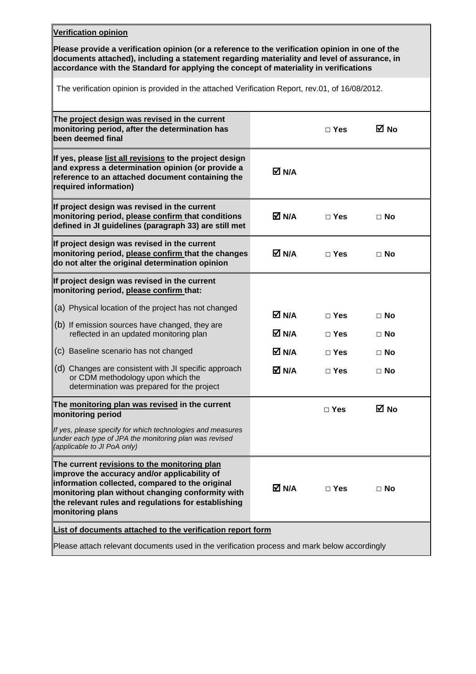## **Verification opinion**

**Please provide a verification opinion (or a reference to the verification opinion in one of the documents attached), including a statement regarding materiality and level of assurance, in accordance with the Standard for applying the concept of materiality in verifications** 

The verification opinion is provided in the attached Verification Report, rev.01, of 16/08/2012.

|                                                            | $\Box$ Yes              | M No                                                                                                                     |
|------------------------------------------------------------|-------------------------|--------------------------------------------------------------------------------------------------------------------------|
| M N/A                                                      |                         |                                                                                                                          |
| M N/A                                                      | $\Box$ Yes              | $\Box$ No                                                                                                                |
| M N/A                                                      | $\Box$ Yes              | $\Box$ No                                                                                                                |
|                                                            |                         |                                                                                                                          |
|                                                            |                         | $\Box$ No                                                                                                                |
|                                                            |                         |                                                                                                                          |
|                                                            |                         | $\Box$ No                                                                                                                |
|                                                            | $\Box$ Yes              | $\Box$ No                                                                                                                |
| M N/A                                                      | $\Box$ Yes              | $\Box$ No                                                                                                                |
|                                                            | $\square$ Yes           | M No                                                                                                                     |
|                                                            |                         |                                                                                                                          |
| M N/A                                                      | $\Box$ Yes              | $\Box$ No                                                                                                                |
| List of documents attached to the verification report form |                         |                                                                                                                          |
|                                                            |                         |                                                                                                                          |
|                                                            | M N/A<br>M N/A<br>M N/A | $\Box$ Yes<br>$\Box$ Yes<br>Please attach relevant documents used in the verification process and mark below accordingly |